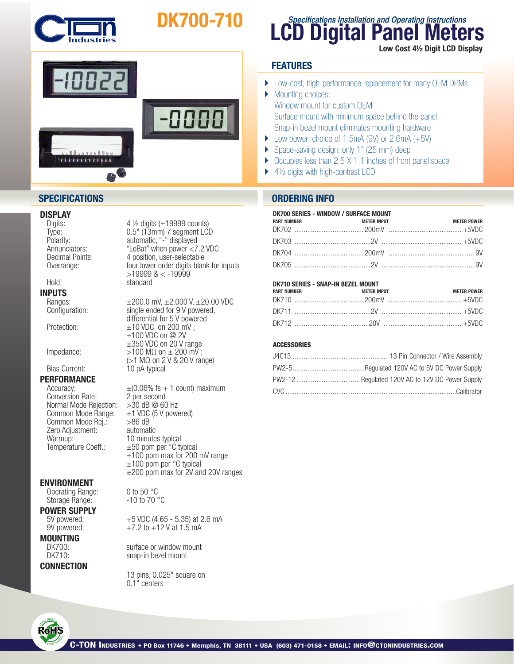

# DK700-710



### **DISPLAY**<br>Digits:

**INPUTS**<br>Ranges:

## **PERFORMANCE**<br>Accuracy:

Conversion Rate: 2 per second<br>Normal Mode Rejection: > 30 dB @ 60 Hz Normal Mode Rejection:<br>Common Mode Range: Common Mode Rej.:  $>86$  dB<br>Zero Adiustment: automatic Zero Adjustment:<br>Warmup: Warmup:  $10$  minutes typical<br>Temperature Coeff.:  $\pm 50$  ppm per °C ty

#### ENVIRONMENT

Operating Range: 0 to 50 °C<br>Storage Range: 310 to 70 °C Storage Range:

**POWER SUPPLY**<br>5V powered:

**MOUNTING** 

#### **CONNECTION**

4  $\frac{1}{2}$  digits ( $\pm$ 19999 counts) Type: 0.5" (13mm) 7 segment LCD<br>Polarity: automatic, "-" displayed Polarity: automatic, "-" displayed<br>Annunciators: "LoBat" when power <7 Annunciators: "LoBat" when power <7.2 VDC<br>Decimal Points: 4 position, user-selectable Decimal Points: 4 position, user-selectable<br>Overrange: 6 four lower order digits blan four lower order digits blank for inputs >19999 & < -19999 Hold: standard

Ranges:  $\pm 200.0$  mV,  $\pm 2.000$  V,  $\pm 20.00$  VDC<br>Configuration: single ended for 9 V powered. single ended for 9 V powered, differential for 5 V powered Protection:  $\pm 10 \text{ VDC}$  on 200 mV; ±100 VDC on @ 2V ; ±350 VDC on 20 V range Impedance:  $>100 \text{ M}\Omega \text{ on } \pm 200 \text{ mV}$ ;  $(>1$  M $\Omega$  on 2 V & 20 V range)<br>Bias Current:  $10$  pA typical 10 pA typical

> $\pm$ (0.06% fs + 1 count) maximum<br>2 per second  $\pm$ 1 VDC (5 V powered)  $\pm 50$  ppm per  $^{\circ}$ C typical  $±100$  ppm max for 200 mV range  $±100$  ppm per  $°C$  typical ±200 ppm max for 2V and 20V ranges

5V powered:  $+5$  VDC (4.65 - 5.35) at 2.6 mA<br>9V powered:  $+7.2$  to +12 V at 1.5 mA  $+7.2$  to  $+12$  V at 1.5 mA

DK700: surface or window mount<br>DK710: snap-in bezel mount snap-in bezel mount

> 13 pins, 0.025" square on 0.1" centers

### **LCD Digital Panel Meters Specifications Installation and Operating Instructions** Low Cost 4½ Digit LCD Display

#### **FEATURES**

- } Low-cost, high-performance replacement for many OEM DPMs
- Mounting choices: Window mount for custom OEM Surface mount with minimum space behind the panel Snap-in bezel mount eliminates mounting hardware
- Low power: choice of 1.5mA (9V) or  $2.6mA (+5V)$
- ▶ Space-saving design: only 1" (25 mm) deep
- } Occupies less than 2.5 X 1.1 inches of front panel space
- $\blacktriangleright$  4½ digits with high-contrast LCD

#### **SPECIFICATIONS ORDERING INFO**

| DK700 SERIES - WINDOW / SURFACE MOUNT |                          |                    |  |  |  |
|---------------------------------------|--------------------------|--------------------|--|--|--|
| <b>PART NUMBER</b>                    | <b>STATE METER INPUT</b> | <b>METER POWER</b> |  |  |  |
|                                       |                          |                    |  |  |  |
|                                       |                          |                    |  |  |  |
|                                       |                          |                    |  |  |  |
|                                       |                          |                    |  |  |  |

#### DK710 SERIES - SNAP-IN BEZEL MOUNT

| <b>PART NUMBER</b> | <b>METER INPUT</b> | METER POWER |
|--------------------|--------------------|-------------|
|                    |                    |             |
|                    |                    |             |
|                    |                    |             |

#### **ACCESSORIES**